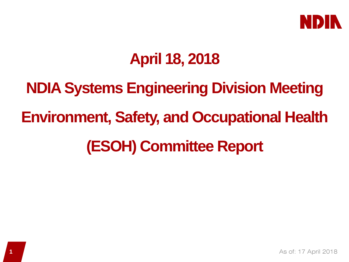

# **April 18, 2018**

**NDIA Systems Engineering Division Meeting Environment, Safety, and Occupational Health (ESOH) Committee Report**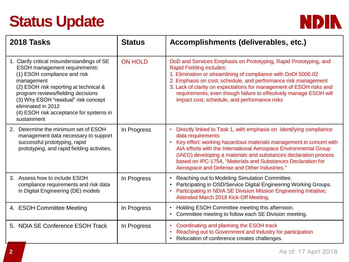# **Status Update**



| 2018 Tasks                                                                                                                                                                                                                                                                                                                                | <b>Status</b>  | Accomplishments (deliverables, etc.)                                                                                                                                                                                                                                                                                                                                                                                                            |
|-------------------------------------------------------------------------------------------------------------------------------------------------------------------------------------------------------------------------------------------------------------------------------------------------------------------------------------------|----------------|-------------------------------------------------------------------------------------------------------------------------------------------------------------------------------------------------------------------------------------------------------------------------------------------------------------------------------------------------------------------------------------------------------------------------------------------------|
| 1. Clarify critical misunderstandings of SE<br><b>ESOH</b> management requirements:<br>(1) ESOH compliance and risk<br>management<br>(2) ESOH risk reporting at technical &<br>program reviews/fielding decisions<br>(3) Why ESOH "residual" risk concept<br>eliminated in 2012<br>(4) ESOH risk acceptance for systems in<br>sustainment | <b>ON HOLD</b> | DoD and Services Emphasis on Prototyping, Rapid Prototyping, and<br><b>Rapid Fielding includes:</b><br>1. Elimination or streamlining of compliance with DoDI 5000.02<br>2. Emphasis on cost, schedule, and performance risk management<br>3. Lack of clarity on expectations for management of ESOH risks and<br>requirements, even though failure to effectively manage ESOH will<br>impact cost, schedule, and performance risks             |
| 2. Determine the minimum set of ESOH<br>management data necessary to support<br>successful prototyping, rapid<br>prototyping, and rapid fielding activities.                                                                                                                                                                              | In Progress    | Directly linked to Task 1, with emphasis on identifying compliance<br>$\bullet$<br>data requirements<br>Key effort: working hazardous materials management in concert with<br>$\bullet$<br>AIA efforts with the International Aerospace Environmental Group<br>(IAEG) developing a materials and substances declaration process<br>based on IPC-1754, "Materials and Substances Declaration for<br>Aerospace and Defense and Other Industries." |
| 3. Assess how to include ESOH<br>compliance requirements and risk data<br>in Digital Engineering (DE) models                                                                                                                                                                                                                              | In Progress    | Reaching out to Modeling Simulation Committee.<br>$\bullet$<br>Participating in OSD/Service Digital Engineering Working Groups.<br>$\bullet$<br>Participating in NDIA SE Division Mission Engineering Initiative;<br>Attended March 2018 Kick-Off Meeting.                                                                                                                                                                                      |
| 4. ESOH Committee Meeting                                                                                                                                                                                                                                                                                                                 | In Progress    | Holding ESOH Committee meeting this afternoon.<br>$\bullet$<br>Committee meeting to follow each SE Division meeting.<br>$\bullet$                                                                                                                                                                                                                                                                                                               |
| 5. NDIA SE Conference ESOH Track                                                                                                                                                                                                                                                                                                          | In Progress    | Coordinating and planning the ESOH track<br>$\bullet$<br>Reaching out to Government and Industry for participation<br>$\bullet$<br>Relocation of conference creates challenges.<br>$\bullet$                                                                                                                                                                                                                                                    |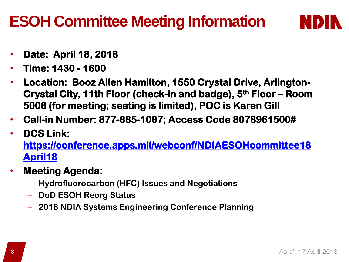# **ESOH Committee Meeting Information**



- **Date: April 18, 2018**
- **Time: 1430 - 1600**
- **Location: Booz Allen Hamilton, 1550 Crystal Drive, Arlington-Crystal City, 11th Floor (check-in and badge), 5th Floor – Room 5008 (for meeting; seating is limited), POC is Karen Gill**
- **Call-in Number: 877-885-1087; Access Code 8078961500#**
- **DCS Link:**

**[https://conference.apps.mil/webconf/NDIAESOHcommittee18](https://conference.apps.mil/webconf/NDIAESOHcommittee18April18) April18**

- **Meeting Agenda:** 
	- **Hydrofluorocarbon (HFC) Issues and Negotiations**
	- **DoD ESOH Reorg Status**
	- **2018 NDIA Systems Engineering Conference Planning**